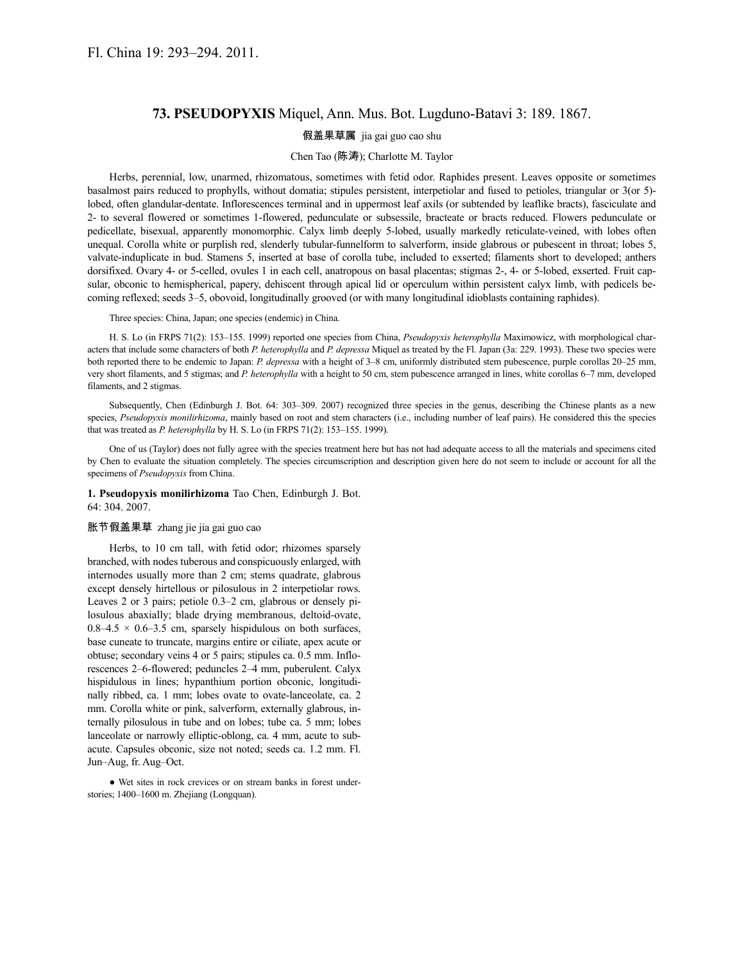## **73. PSEUDOPYXIS** Miquel, Ann. Mus. Bot. Lugduno-Batavi 3: 189. 1867.

## 假盖果草属 jia gai guo cao shu

## Chen Tao (陈涛); Charlotte M. Taylor

Herbs, perennial, low, unarmed, rhizomatous, sometimes with fetid odor. Raphides present. Leaves opposite or sometimes basalmost pairs reduced to prophylls, without domatia; stipules persistent, interpetiolar and fused to petioles, triangular or 3(or 5) lobed, often glandular-dentate. Inflorescences terminal and in uppermost leaf axils (or subtended by leaflike bracts), fasciculate and 2- to several flowered or sometimes 1-flowered, pedunculate or subsessile, bracteate or bracts reduced. Flowers pedunculate or pedicellate, bisexual, apparently monomorphic. Calyx limb deeply 5-lobed, usually markedly reticulate-veined, with lobes often unequal. Corolla white or purplish red, slenderly tubular-funnelform to salverform, inside glabrous or pubescent in throat; lobes 5, valvate-induplicate in bud. Stamens 5, inserted at base of corolla tube, included to exserted; filaments short to developed; anthers dorsifixed. Ovary 4- or 5-celled, ovules 1 in each cell, anatropous on basal placentas; stigmas 2-, 4- or 5-lobed, exserted. Fruit capsular, obconic to hemispherical, papery, dehiscent through apical lid or operculum within persistent calyx limb, with pedicels becoming reflexed; seeds 3–5, obovoid, longitudinally grooved (or with many longitudinal idioblasts containing raphides).

Three species: China, Japan; one species (endemic) in China.

H. S. Lo (in FRPS 71(2): 153–155. 1999) reported one species from China, *Pseudopyxis heterophylla* Maximowicz, with morphological characters that include some characters of both *P. heterophylla* and *P. depressa* Miquel as treated by the Fl. Japan (3a: 229. 1993). These two species were both reported there to be endemic to Japan: *P. depressa* with a height of 3–8 cm, uniformly distributed stem pubescence, purple corollas 20–25 mm, very short filaments, and 5 stigmas; and *P. heterophylla* with a height to 50 cm, stem pubescence arranged in lines, white corollas 6–7 mm, developed filaments, and 2 stigmas.

Subsequently, Chen (Edinburgh J. Bot. 64: 303–309. 2007) recognized three species in the genus, describing the Chinese plants as a new species, *Pseudopyxis monilirhizoma*, mainly based on root and stem characters (i.e., including number of leaf pairs). He considered this the species that was treated as *P. heterophylla* by H. S. Lo (in FRPS 71(2): 153–155. 1999).

One of us (Taylor) does not fully agree with the species treatment here but has not had adequate access to all the materials and specimens cited by Chen to evaluate the situation completely. The species circumscription and description given here do not seem to include or account for all the specimens of *Pseudopyxis* from China.

**1. Pseudopyxis monilirhizoma** Tao Chen, Edinburgh J. Bot. 64: 304. 2007.

## 胀节假盖果草 zhang jie jia gai guo cao

Herbs, to 10 cm tall, with fetid odor; rhizomes sparsely branched, with nodes tuberous and conspicuously enlarged, with internodes usually more than 2 cm; stems quadrate, glabrous except densely hirtellous or pilosulous in 2 interpetiolar rows. Leaves 2 or 3 pairs; petiole 0.3–2 cm, glabrous or densely pilosulous abaxially; blade drying membranous, deltoid-ovate,  $0.8-4.5 \times 0.6-3.5$  cm, sparsely hispidulous on both surfaces, base cuneate to truncate, margins entire or ciliate, apex acute or obtuse; secondary veins 4 or 5 pairs; stipules ca. 0.5 mm. Inflorescences 2–6-flowered; peduncles 2–4 mm, puberulent. Calyx hispidulous in lines; hypanthium portion obconic, longitudinally ribbed, ca. 1 mm; lobes ovate to ovate-lanceolate, ca. 2 mm. Corolla white or pink, salverform, externally glabrous, internally pilosulous in tube and on lobes; tube ca. 5 mm; lobes lanceolate or narrowly elliptic-oblong, ca. 4 mm, acute to subacute. Capsules obconic, size not noted; seeds ca. 1.2 mm. Fl. Jun–Aug, fr. Aug–Oct.

● Wet sites in rock crevices or on stream banks in forest understories; 1400–1600 m. Zhejiang (Longquan).